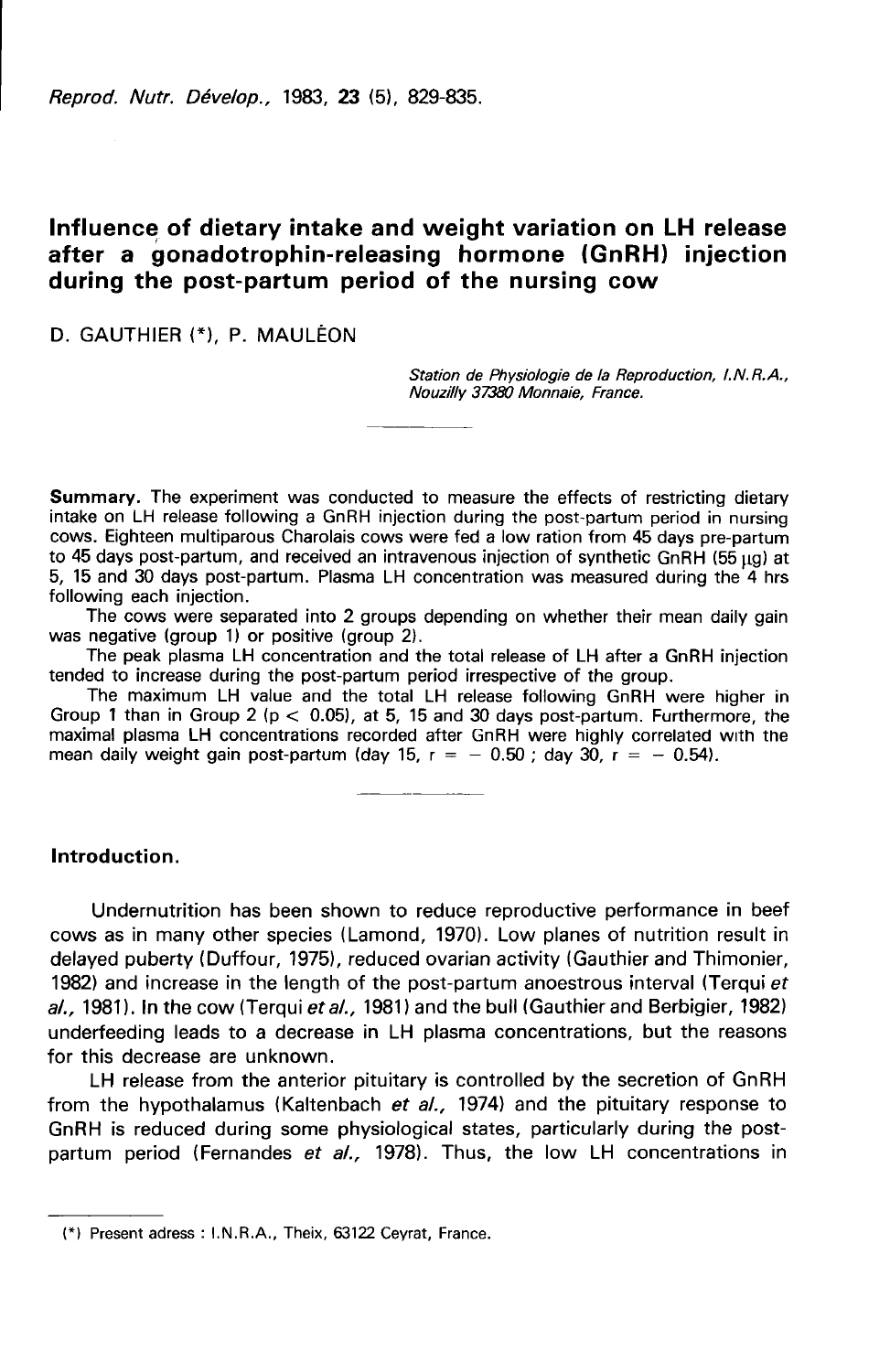Reprod. Nutr. Dévelop., 1983, 23 (5), 829-835.

# Influence of dietary intake and weight variation on LH release after a gonadotrophin-releasing hormone (GnRH) injection during the post-partum period of the nursing cow

## D. GAUTHIER (\*). P. MAULÉON

Station de Physiologie de la Reproduction, I.N.R.A., Nouzilly 37380 Monnaie, France.

**Summary.** The experiment was conducted to measure the effects of restricting dietary intake on LH release following a GnRH injection during the post-partum period in nursing cows. Eighteen multiparous Charolais cows were fed a low ration from 45 days pre-partum<br>to 45 days post-partum, and received an intravenous injection of synthetic GnRH (55 µg) at 5, 15 and 30 days post-partum. Plasma LH concentration was measured during the 4 hrs following each injection.

The cows were separated into 2 groups depending on whether their mean daily gain was negative (group 1) or positive (group 2).

The peak plasma LH concentration and the total release of LH after a GnRH injection tended to increase during the post-partum period irrespective of the group.

The maximum LH value and the total LH release following GnRH were higher in Group 1 than in Group 2 (p  $<$  0.05), at 5, 15 and 30 days post-partum. Furthermore, the maximal plasma LH concentrations recorded after GnRH were highly correlated with the mean daily weight gain post-partum (day 15,  $r =$ maximal plasma LH concentrations recorded after GnRH were highly correlated with the mean daily weight gain post-partum (day 15,  $r = -0.50$ ; day 30,  $r = -0.54$ ).

### Introduction.

Undernutrition has been shown to reduce reproductive performance in beef cows as in many other species (Lamond, 1970). Low planes of nutrition result in delayed puberty (Duffour, 1975), reduced ovarian activity (Gauthier and Thimonier, 1982) and increase in the length of the post-partum anoestrous interval (Terqui et al., 1981). In the cow (Terqui et al., 1981) and the bull (Gauthier and Berbigier, 1982) underfeeding leads to a decrease in LH plasma concentrations, but the reasons for this decrease are unknown.

LH release from the anterior pituitary is controlled by the secretion of GnRH from the hypothalamus (Kaltenbach et al., 1974) and the pituitary response to GnRH is reduced during some physiological states, particularly during the postpartum period (Fernandes et al., 1978). Thus, the low LH concentrations in

<sup>(\*)</sup> Present adress : I.N.R.A., Theix, 63122 Ceyrat, France.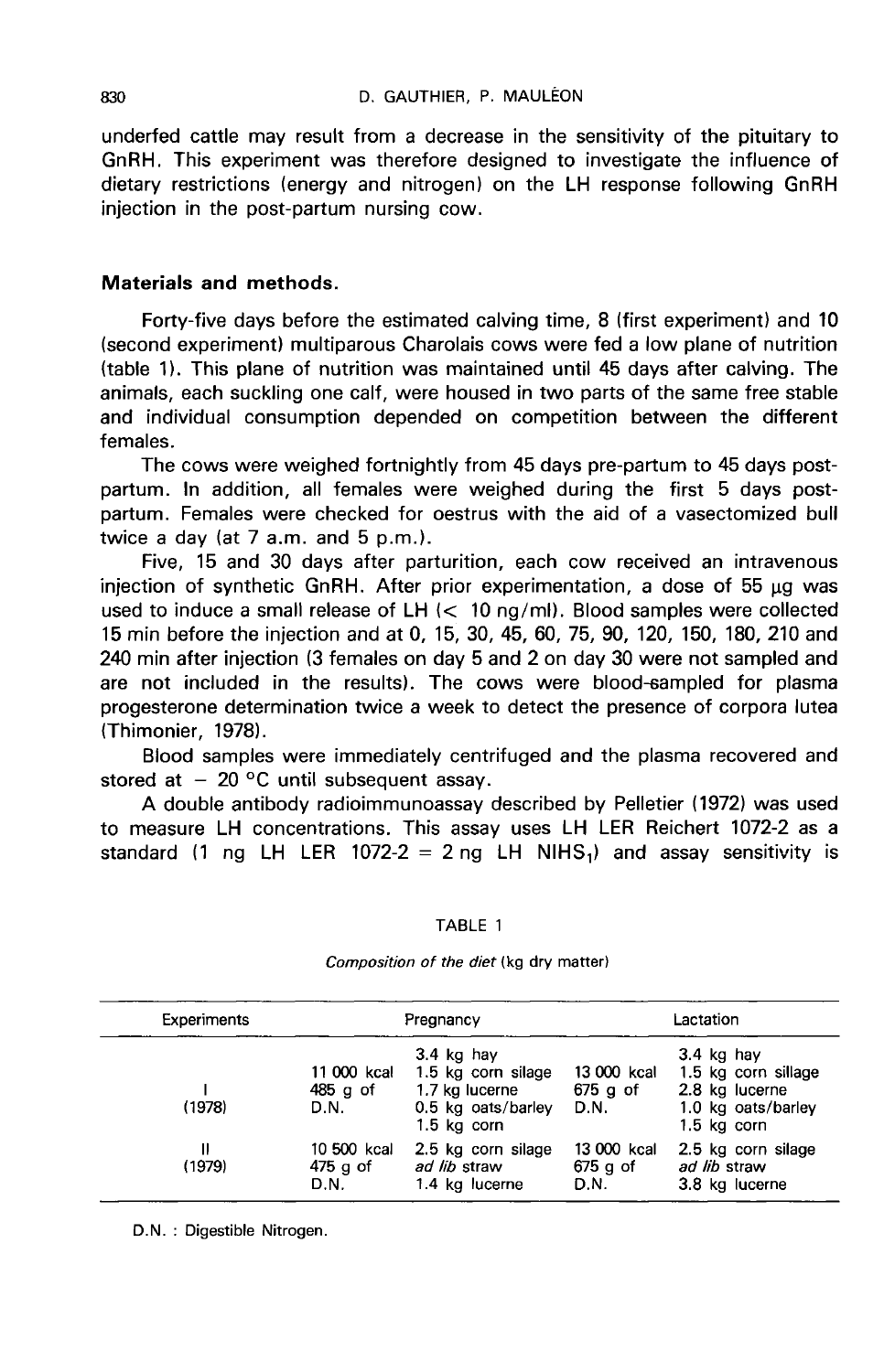underfed cattle may result from a decrease in the sensitivity of the pituitary to GnRH. This experiment was therefore designed to investigate the influence of dietary restrictions (energy and nitrogen) on the LH response following GnRH injection in the post-partum nursing cow.

### Materials and methods.

Forty-five days before the estimated calving time, 8 (first experiment) and 10 (second experiment) multiparous Charolais cows were fed a low plane of nutrition (table 11. This plane of nutrition was maintained until 45 days after calving. The animals, each suckling one calf, were housed in two parts of the same free stable and individual consumption depended on competition between the different females.

The cows were weighed fortnightly from 45 days pre-partum to 45 days postpartum. In addition, all females were weighed during the first 5 days postpartum. Females were checked for oestrus with the aid of a vasectomized bull twice a day (at 7 a.m. and 5 p.m.).

Five, 15 and 30 days after parturition, each cow received an intravenous injection of synthetic GnRH. After prior experimentation, a dose of  $55 \mu g$  was used to induce a small release of  $LH \ll 10$  ng/ml). Blood samples were collected 15 min before the injection and at 0, 15, 30, 45, 60, 75, 90, 120, 150, 180, 210 and 240 min after injection (3 females on day 5 and 2 on day 30 were not sampled and are not included in the results). The cows were blood-sampled for plasma progesterone determination twice a week to detect the presence of corpora lutea (Thimonier, 1978).

Blood samples were immediately centrifuged and the plasma recovered and stored at  $-20$  °C until subsequent assay.

A double antibody radioimmunoassay described by Pelletier (1972) was used to measure LH concentrations. This assay uses LH LER Reichert 1072-2 as a standard (1 ng LH LER 1072-2 = 2 ng LH NIHS<sub>1</sub>) and assay sensitivity is

#### TABLE 1

| Experiments<br>(1978) | Pregnancy                         |                                                                                             | Lactation                         |                                                                                            |
|-----------------------|-----------------------------------|---------------------------------------------------------------------------------------------|-----------------------------------|--------------------------------------------------------------------------------------------|
|                       | 11 000 kcal<br>485 g of<br>D.N.   | $3.4$ kg hay<br>1.5 kg corn silage<br>1.7 kg lucerne<br>0.5 kg oats/barley<br>$1.5$ kg corn | 13 000 kcal<br>$675$ g of<br>D.N. | 3.4 kg hay<br>1.5 kg corn sillage<br>2.8 kg lucerne<br>1.0 kg oats/barley<br>$1.5$ kg corn |
| Ш<br>(1979)           | 10 500 kcal<br>$475$ g of<br>D.N. | 2.5 kg corn silage<br>ad lib straw<br>1.4 kg lucerne                                        | 13 000 kcal<br>$675$ g of<br>D.N. | 2.5 kg corn silage<br>ad lib straw<br>3.8 kg lucerne                                       |

#### Composition of the diet (kg dry matter)

D.N. : Digestible Nitrogen.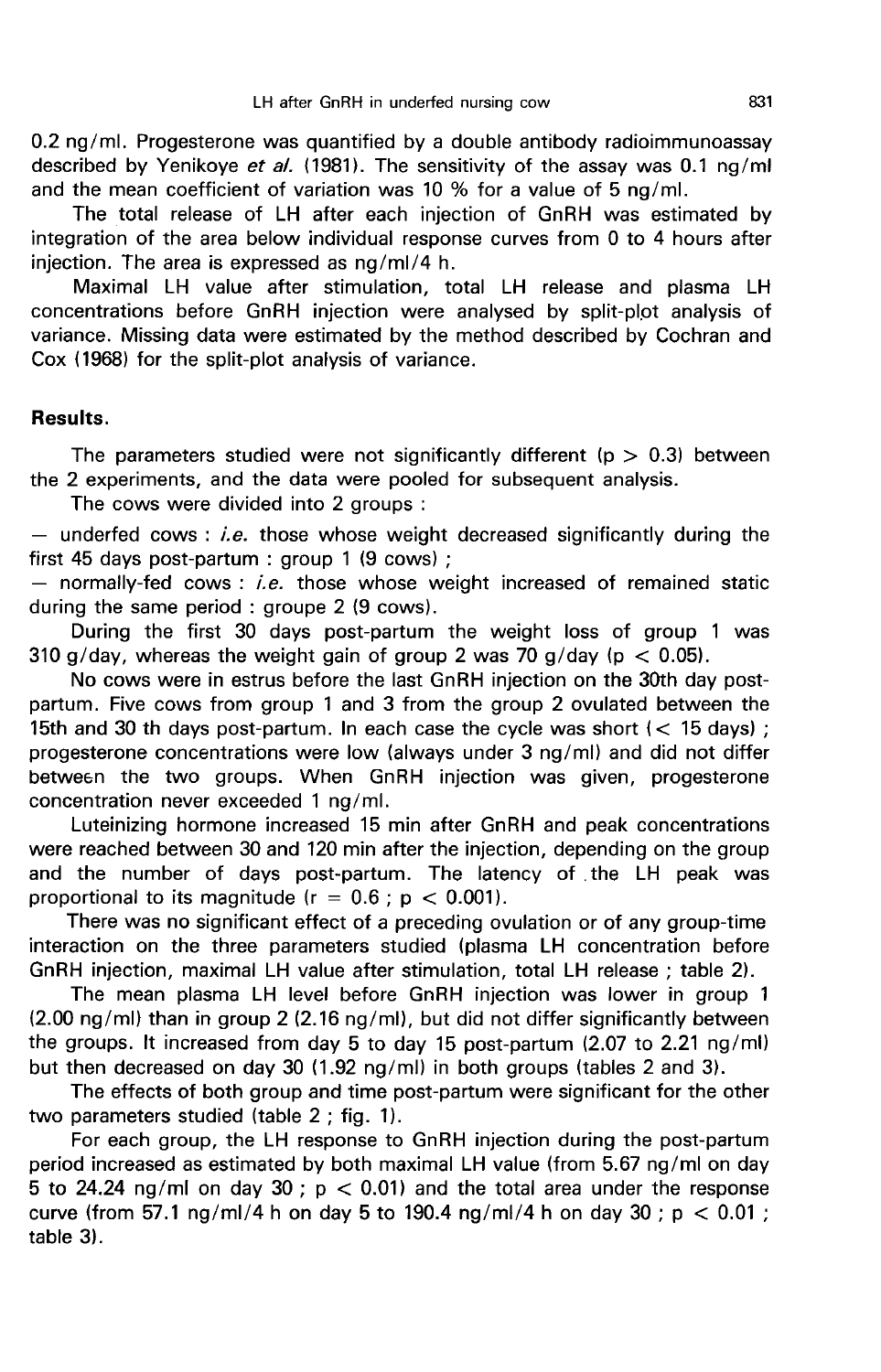0.2 ng/ml. Progesterone was quantified by a double antibody radioimmunoassay described by Yenikove et al. (1981). The sensitivity of the assay was 0.1 ng/ml and the mean coefficient of variation was 10 % for a value of 5 ng/ml.

The total release of LH after each injection of GnRH was estimated by integration of the area below individual response curves from 0 to 4 hours after injection. The area is expressed as ng/ml/4 h.

Maximal LH value after stimulation, total LH release and plasma LH concentrations before GnRH injection were analysed by split-plot analysis of variance. Missing data were estimated by the method described by Cochran and Cox (1968) for the split-plot analysis of variance.

#### Results.

The parameters studied were not significantly different ( $p > 0.3$ ) between the 2 experiments, and the data were pooled for subsequent analysis.

The cows were divided into 2 groups :

- underfed cows : *i.e.* those whose weight decreased significantly during the first 45 days post-partum : group 1 (9 cows) :

 $-$  normally-fed cows : i.e. those whose weight increased of remained static during the same period : groupe 2 (9 cows).

During the first 30 days post-partum the weight loss of group 1 was 310 g/day, whereas the weight gain of group 2 was 70 g/day (p  $<$  0.05).

No cows were in estrus before the last GnRH injection on the 30th day postpartum. Five cows from group 1 and 3 from the group 2 ovulated between the 15th and 30 th days post-partum. In each case the cycle was short ( $<$  15 days); progesterone concentrations were low (always under 3 ng/ml) and did not differ between the two groups. When GnRH injection was given, progesterone concentration never exceeded 1 ng/ml.

Luteinizing hormone increased 15 min after GnRH and peak concentrations were reached between 30 and 120 min after the injection, depending on the group and the number of days post-partum. The latency of the LH peak was proportional to its magnitude ( $r = 0.6$ ;  $p < 0.001$ ).

There was no significant effect of a preceding ovulation or of any group-time interaction on the three parameters studied (plasma LH concentration before GnRH injection, maximal LH value after stimulation, total LH release ; table 2).

The mean plasma LH level before GnRH injection was lower in group 1 (2.00 ng/ml) than in group 2 (2.16 ng/ml), but did not differ significantly between the groups. It increased from day 5 to day 15 post-partum (2.07 to 2.21 ng/ml) but then decreased on day 30 (1.92 ng/ml) in both groups (tables 2 and 3).

The effects of both group and time post-partum were significant for the other two parameters studied (table 2 ; fig. 1).

For each group, the LH response to GnRH injection during the post-partum period increased as estimated by both maximal LH value (from 5.67 ng/ml on day 5 to 24.24 ng/ml on day 30 ;  $p < 0.01$ ) and the total area under the response curve (from 57.1 ng/ml/4 h on day 5 to 190.4 ng/ml/4 h on day 30;  $p < 0.01$ ; table 3).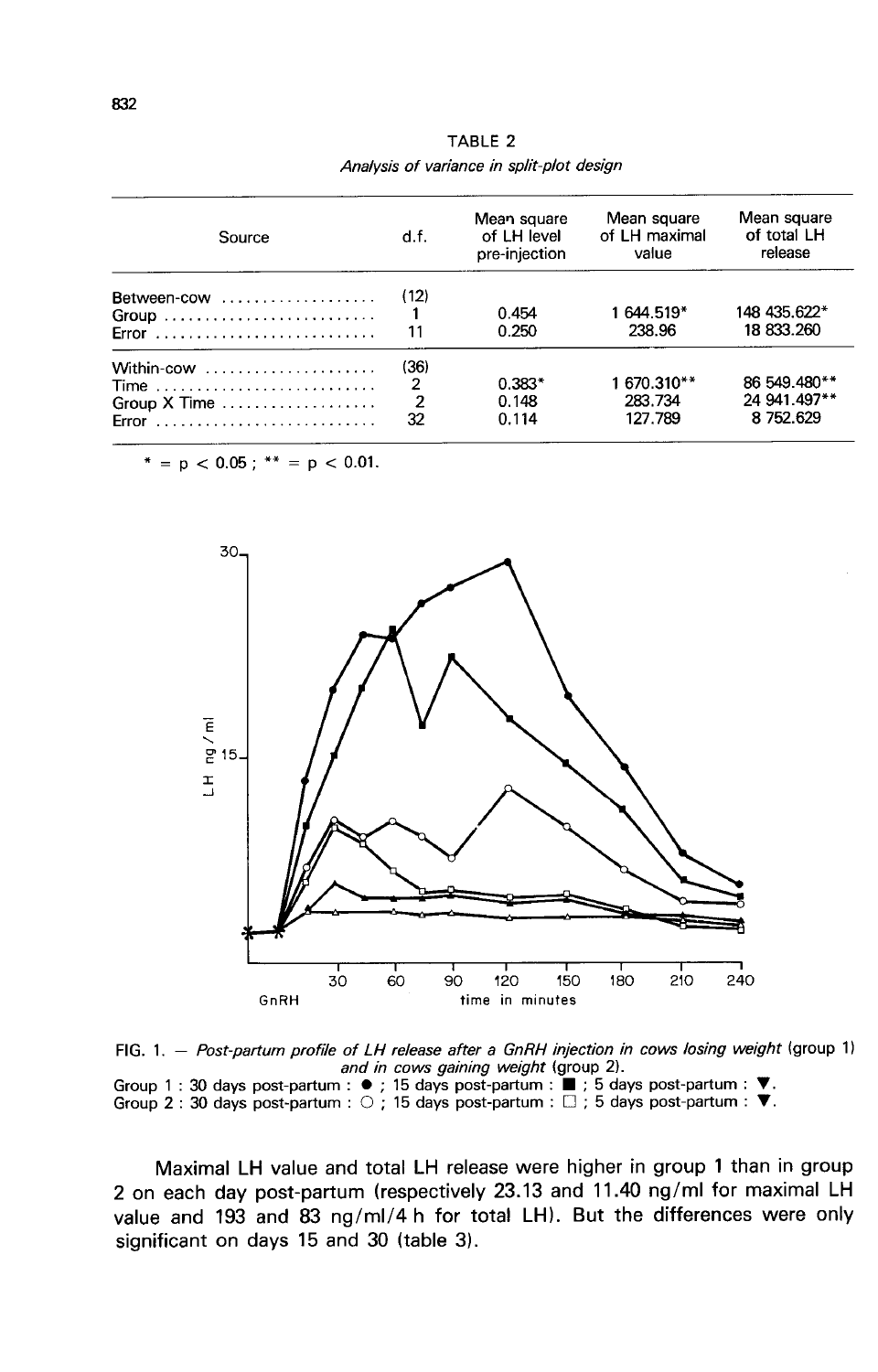| Source                                                                                                                                       | d.f.                                           | Mean square<br>of LH level<br>pre-injection | Mean square<br>of LH maximal<br>value | Mean square<br>of total LH<br>release     |  |
|----------------------------------------------------------------------------------------------------------------------------------------------|------------------------------------------------|---------------------------------------------|---------------------------------------|-------------------------------------------|--|
| Between-cow<br>Error                                                                                                                         | (12)<br>11                                     | 0.454<br>0.250                              | 1 644 519*<br>238.96                  | 148 435.622*<br>18 833.260                |  |
| Within-cow<br>Time $\ldots \ldots \ldots \ldots \ldots \ldots \ldots \ldots$<br>Group $X$ Time $\ldots \ldots \ldots \ldots \ldots$<br>Error | (36)<br>$\overline{2}$<br>$\overline{2}$<br>32 | $0.383*$<br>0.148<br>0.114                  | 1 670.310**<br>283.734<br>127.789     | 86 549.480**<br>24 941.497**<br>8 752.629 |  |

TABLE 2 Analysis of variance in split-plot design

\* =  $p$  < 0.05 ; \*\* =  $p$  < 0.01.



FIG. 1. - Post-partum profile of LH release after a GnRH injection in cows losing weight (group 1) and in cows gaining weight (group 2).

Group 1 : 30 days post-partum :  $\bullet$  ; 15 days post-partum :  $\bullet$  ; 5 days post-partum :  $\bullet$  : 5 days post-partum :  $\circ$  ; 15 days post-partum :  $\square$  ; 5 days post-partum :  $\heartsuit$  :

Maximal LH value and total LH release were higher in group 1 than in group 2 on each day post-partum (respectively 23.13 and 11.40 ng/ml for maximal LH value and 193 and 83 ng/ml/4 h for total LH). But the differences were only significant on days 15 and 30 (table 3).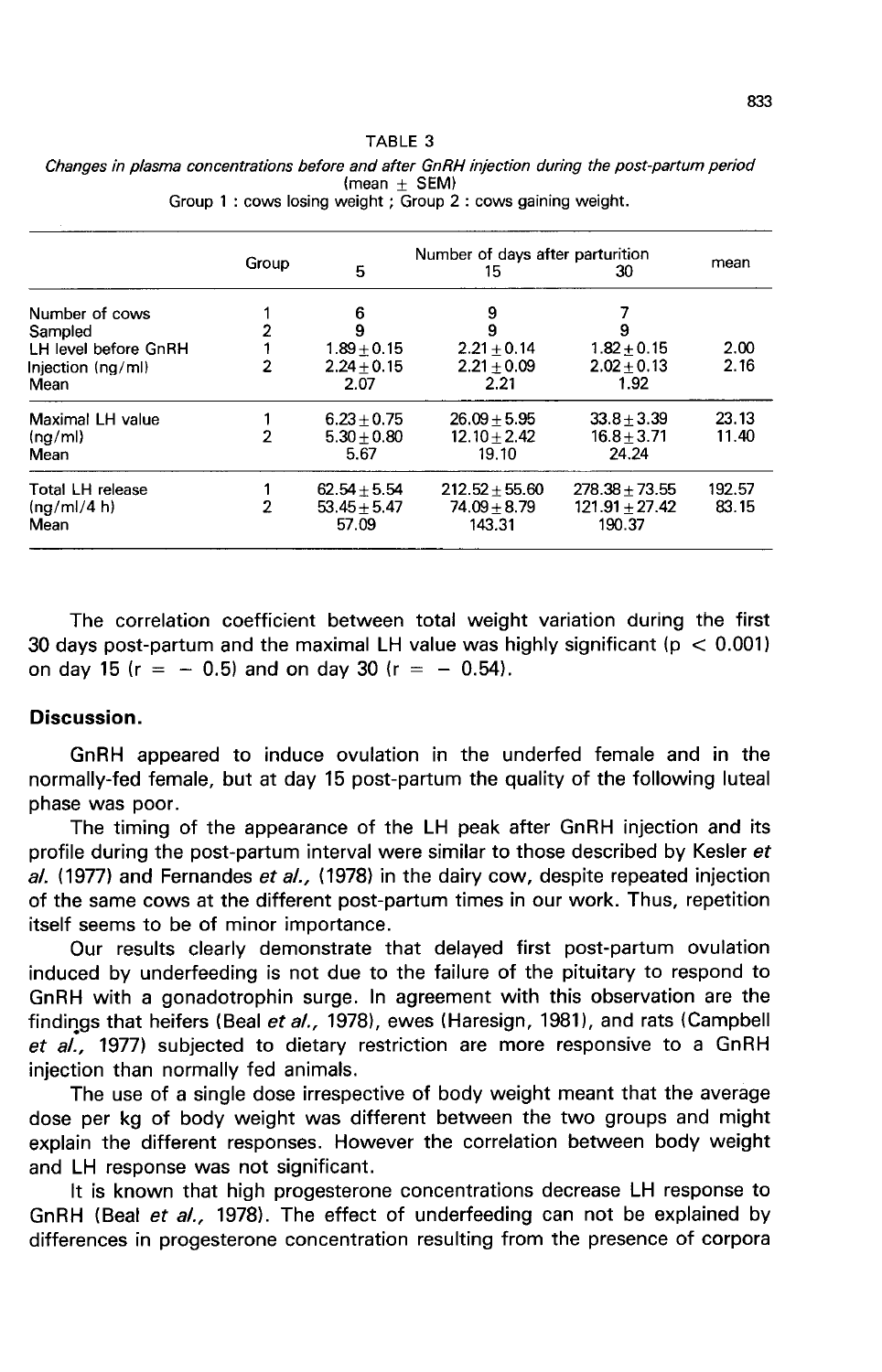#### TABLE 3 Changes in plasma concentrations before and after GnRH injection during the post-partum period  $(mean + SEM)$ Group 1: cows losing weight; Group 2: cows gaining weight.

|                      | Group          | 5              | Number of days after parturition<br>15 | 30               | mean   |
|----------------------|----------------|----------------|----------------------------------------|------------------|--------|
| Number of cows       |                | 6              | 9                                      |                  |        |
| Sampled              | 2              | 9              | 9                                      |                  |        |
| LH level before GnRH |                | $1.89 + 0.15$  | $2.21 + 0.14$                          | $1.82 + 0.15$    | 2.00   |
| Injection (ng/ml)    | $\overline{2}$ | $2.24 + 0.15$  | $2.21 + 0.09$                          | $2.02 + 0.13$    | 2.16   |
| Mean                 |                | 2.07           | 2.21                                   | 1.92             |        |
| Maximal LH value     |                | $6.23 + 0.75$  | $26.09 + 5.95$                         | $33.8 + 3.39$    | 23.13  |
| (nq/ml)              | $\mathbf{2}$   | $5.30 + 0.80$  | $12.10 + 2.42$                         | $16.8 + 3.71$    | 11.40  |
| Mean                 |                | 5.67           | 19.10                                  | 24.24            |        |
| Total LH release     |                | $62.54 + 5.54$ | $212.52 + 55.60$                       | $278.38 + 73.55$ | 192.57 |
| (nq/ml/4 h)          | $\overline{2}$ | $53.45 + 5.47$ | $74.09 + 8.79$                         | $121.91 + 27.42$ | 83.15  |
| Mean                 |                | 57.09          | 143.31                                 | 190.37           |        |

The correlation coefficient between total weight variation during the first 30 days post-partum and the maximal LH value was highly significant ( $p < 0.001$ ) on day 15 ( $r = -0.5$ ) and on day 30 ( $r = -0.54$ ).

### Discussion.

GnRH appeared to induce ovulation in the underfed female and in the normally-fed female, but at day 15 post-partum the quality of the following luteal phase was poor.

The timing of the appearance of the LH peak after GnRH injection and its profile during the post-partum interval were similar to those described by Kesler et al. (1977) and Fernandes et al., (1978) in the dairy cow, despite repeated injection of the same cows at the different post-partum times in our work. Thus, repetition itself seems to be of minor importance.

Our results clearly demonstrate that delayed first post-partum ovulation induced by underfeeding is not due to the failure of the pituitary to respond to GnRH with a gonadotrophin surge. In agreement with this observation are the findings that heifers (Beal et al., 1978), ewes (Haresign, 1981), and rats (Campbell et  $a\tilde{l}$ , 1977) subjected to dietary restriction are more responsive to a GnRH injection than normally fed animals.

The use of a single dose irrespective of body weight meant that the average dose per kg of body weight was different between the two groups and might explain the different responses. However the correlation between body weight and LH response was not significant.

It is known that high progesterone concentrations decrease LH response to GnRH (Beal et al., 1978). The effect of underfeeding can not be explained by differences in progesterone concentration resulting from the presence of corpora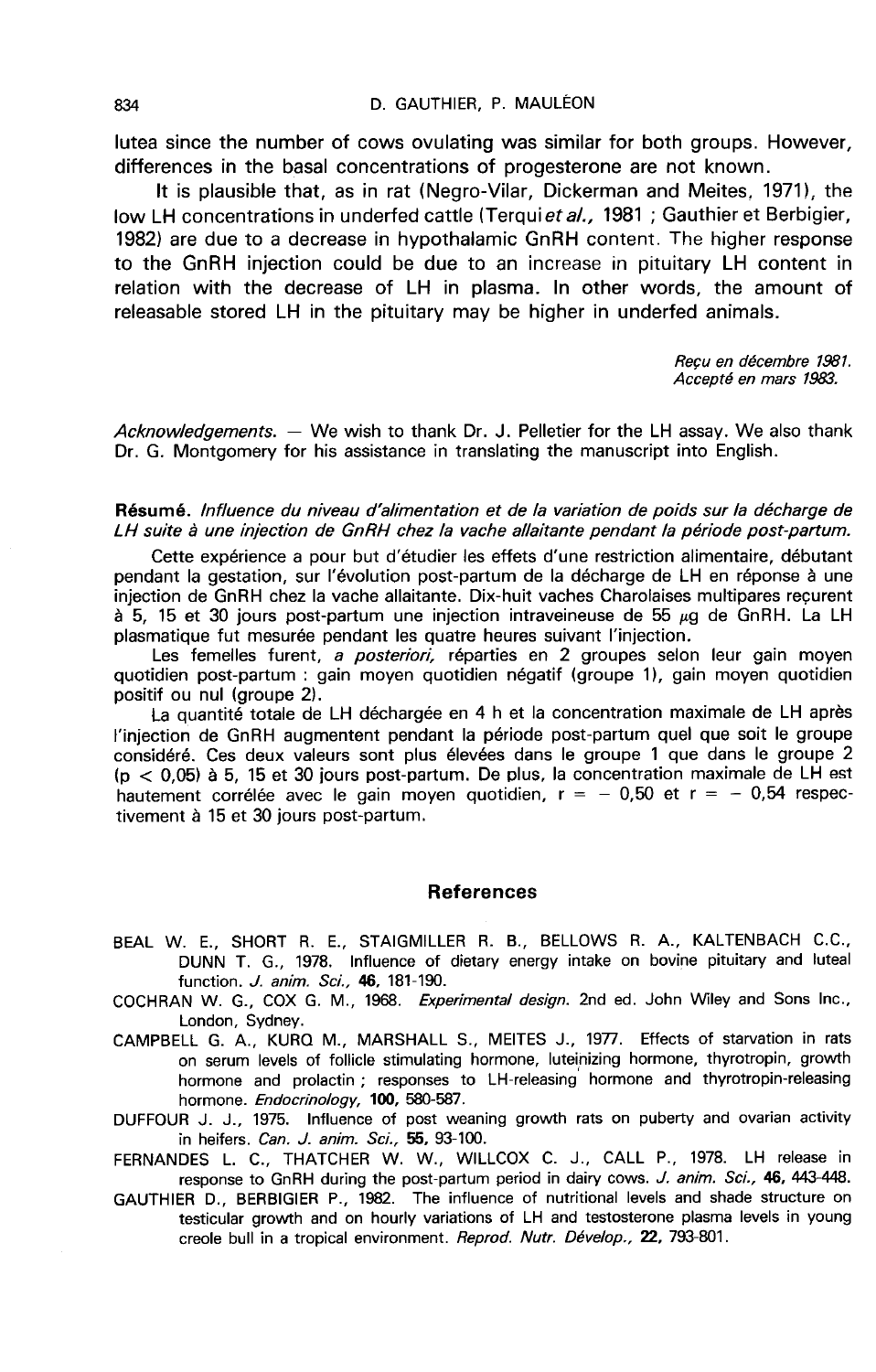lutea since the number of cows ovulating was similar for both groups. However, differences in the basal concentrations of progesterone are not known.

It is plausible that, as in rat (Negro-Vilar, Dickerman and Meites, 1971), the low LH concentrations in underfed cattle (Terquiet al., 1981; Gauthier et Berbigier, 1982) are due to a decrease in hypothalamic GnRH content. The higher response to the GnRH injection could be due to an increase in pituitary LH content in relation with the decrease of LH in plasma. In other words, the amount of releasable stored LH in the pituitary may be higher in underfed animals.

Reçu en décembre 1981.<br>Accepté en mars 1983.

Acknowledgements. — We wish to thank Dr. J. Pelletier for the LH assay. We also thank Dr. G. Montgomery for his assistance in translating the manuscript into English.

#### Résumé. lnfluence du niveau d'alimentation et de la variation de poids sur la décharge de LH suite à une injection de GnRH chez la vache allaitante pendant la période post-partum.

Cette expérience a pour but d'étudier les effets d'une restriction alimentaire, débutant pendant la gestation, sur l'évolution post-partum de la décharge de LH en réponse à une injection de GnRH chez la vache allaitante. Dix-huit vaches Charolaises multipares reçurent à 5, 15 et 30 jours post-partum une injection intraveineuse de 55  $\mu$ g de GnRH. La LH plasmatique fut mesurée pendant les quatre heures suivant l'injection.

Les femelles furent, a posteriori, réparties en 2 groupes selon leur gain moyen quotidien post-partum : gain moyen quotidien négatif (groupe 1), gain moyen quotidien positif ou nul (groupe 2).

La quantité totale de LH déchargée en 4 h et la concentration maximale de LH après l'injection de GnRH augmentent pendant la période post-partum quel que soit le groupe considéré. Ces deux valeurs sont plus élevées dans le groupe 1 que dans le groupe 2  $(p < 0.05)$  à 5, 15 et 30 jours post-partum. De plus, la concentration maximale de LH est hautement corrélée avec le gain moyen quotidien,  $r = -0.50$  et  $r = -0.54$  respectivement à 15 et 30 jours post-partum.

### **References**

- BEAL W. E., SHORT R. E., STAIGMILLER R. B., BELLOWS R. A., KALTENBACH C.C., DUNN T. G., 1978. Influence of dietary energy intake on bovine pituitary and luteal function. *J. anim. Sci.*, **46**, 181-190.
- COCHRAN W. G., COX G. M., 1968. Experimental design. 2nd ed. John Wiley and Sons Inc., London, Sydney.
- CAMPBELL G. A., KURQ M., MARSHALL S., MEITES J., 1977. Effects of starvation in rats on serum levels of follicle stimulating hormone, luteinizing hormone, thyrotropin, growth hormone and prolactin ; responses to LH-releasing hormone and thyrotropin-releasing hormone. Endocrinology, 100, 580-587.
- DUFFOUR J. J., 1975. Influence of post weaning growth rats on puberty and ovarian activity in heifers. Can. J. anim. Sci., 55, 93-100.

FERNANDES L. C., THATCHER W. W., WILLCOX C. J., CALL P., 1978. LH release in response to GnRH during the post-partum period in dairy cows. J. anim. Sci., 46, 443-448.

GAUTHIER D., BERBIGIER P., 1982. The influence of nutritional levels and shade structure on testicular growth and on hourly variations of LH and testosterone plasma levels in young creole bull in a tropical environment. Reprod. Nutr. Dévelop., 22, 793-801.